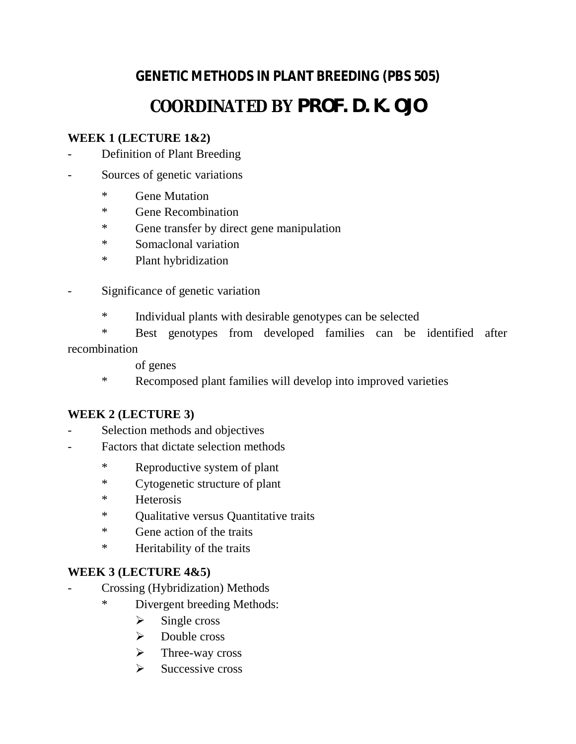# **GENETIC METHODS IN PLANT BREEDING (PBS 505) COORDINATED BY PROF. D. K. OJO**

## **WEEK 1 (LECTURE 1&2)**

- Definition of Plant Breeding
- Sources of genetic variations
	- \* Gene Mutation
	- \* Gene Recombination
	- \* Gene transfer by direct gene manipulation
	- \* Somaclonal variation
	- \* Plant hybridization
- Significance of genetic variation
	- \* Individual plants with desirable genotypes can be selected
- \* Best genotypes from developed families can be identified after recombination
	- of genes
	- \* Recomposed plant families will develop into improved varieties

#### **WEEK 2 (LECTURE 3)**

- Selection methods and objectives
- Factors that dictate selection methods
	- \* Reproductive system of plant
	- \* Cytogenetic structure of plant
	- \* Heterosis
	- \* Qualitative versus Quantitative traits
	- \* Gene action of the traits
	- \* Heritability of the traits

#### **WEEK 3 (LECTURE 4&5)**

- Crossing (Hybridization) Methods
	- \* Divergent breeding Methods:
		- $\triangleright$  Single cross
		- $\triangleright$  Double cross
		- $\triangleright$  Three-way cross
		- $\triangleright$  Successive cross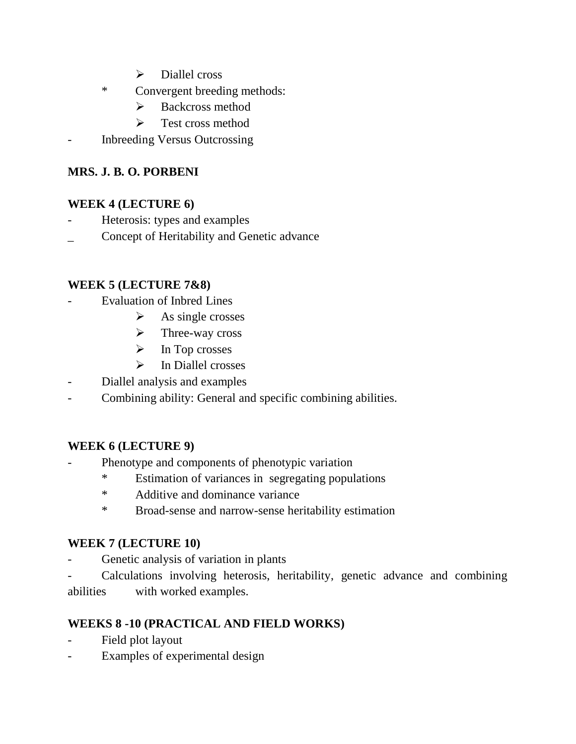- $\triangleright$  Diallel cross
- \* Convergent breeding methods:
	- $\triangleright$  Backcross method
	- $\triangleright$  Test cross method
- Inbreeding Versus Outcrossing

### **MRS. J. B. O. PORBENI**

#### **WEEK 4 (LECTURE 6)**

- Heterosis: types and examples
- Concept of Heritability and Genetic advance

#### **WEEK 5 (LECTURE 7&8)**

- Evaluation of Inbred Lines
	- $\triangleright$  As single crosses
	- $\triangleright$  Three-way cross
	- $\triangleright$  In Top crosses
	- $\triangleright$  In Diallel crosses
- Diallel analysis and examples
- Combining ability: General and specific combining abilities.

## **WEEK 6 (LECTURE 9)**

- Phenotype and components of phenotypic variation
	- \* Estimation of variances in segregating populations
	- \* Additive and dominance variance
	- \* Broad-sense and narrow-sense heritability estimation

#### **WEEK 7 (LECTURE 10)**

- Genetic analysis of variation in plants
- Calculations involving heterosis, heritability, genetic advance and combining abilities with worked examples.

## **WEEKS 8 -10 (PRACTICAL AND FIELD WORKS)**

- Field plot layout
- Examples of experimental design